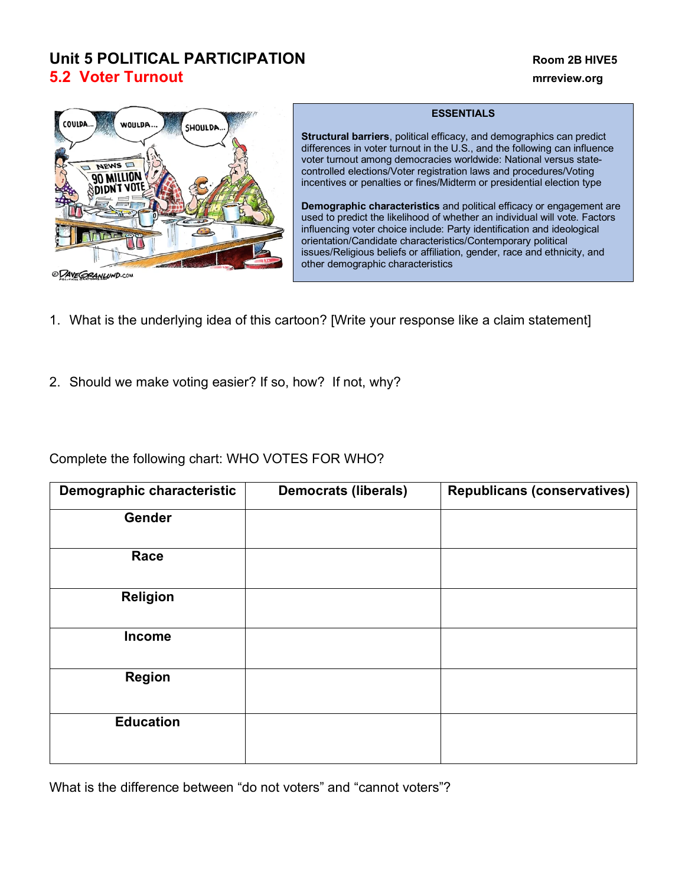## **Unit 5 POLITICAL PARTICIPATION Room 2B HIVE5 5.2 Voter Turnout mrreview.org**



ODAVE GRANLUND.COM

## **ESSENTIALS**

**Structural barriers**, political efficacy, and demographics can predict differences in voter turnout in the U.S., and the following can influence voter turnout among democracies worldwide: National versus statecontrolled elections/Voter registration laws and procedures/Voting incentives or penalties or fines/Midterm or presidential election type

**Demographic characteristics** and political efficacy or engagement are used to predict the likelihood of whether an individual will vote. Factors influencing voter choice include: Party identification and ideological orientation/Candidate characteristics/Contemporary political issues/Religious beliefs or affiliation, gender, race and ethnicity, and other demographic characteristics

- 1. What is the underlying idea of this cartoon? [Write your response like a claim statement]
- 2. Should we make voting easier? If so, how? If not, why?

Complete the following chart: WHO VOTES FOR WHO?

| Demographic characteristic | <b>Democrats (liberals)</b> | <b>Republicans (conservatives)</b> |
|----------------------------|-----------------------------|------------------------------------|
| Gender                     |                             |                                    |
| Race                       |                             |                                    |
| <b>Religion</b>            |                             |                                    |
| <b>Income</b>              |                             |                                    |
| <b>Region</b>              |                             |                                    |
| <b>Education</b>           |                             |                                    |

What is the difference between "do not voters" and "cannot voters"?